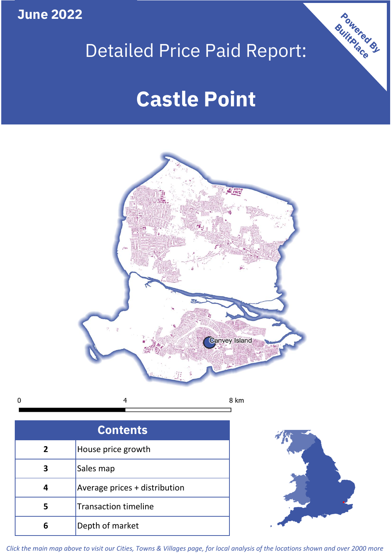**June 2022**

# Detailed Price Paid Report:

# **Castle Point**



 $\mathbf 0$ 

| <b>Contents</b> |                               |  |  |  |  |
|-----------------|-------------------------------|--|--|--|--|
| 2               | House price growth            |  |  |  |  |
|                 | Sales map                     |  |  |  |  |
|                 | Average prices + distribution |  |  |  |  |
|                 | <b>Transaction timeline</b>   |  |  |  |  |
|                 | Depth of market               |  |  |  |  |



Powered By

*Click the main map above to visit our Cities, Towns & Villages page, for local analysis of the locations shown and over 2000 more*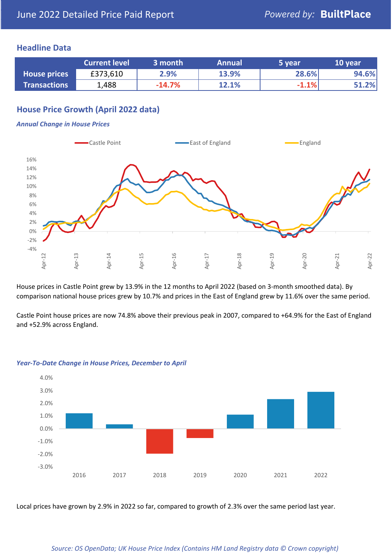### **Headline Data**

|                     | <b>Current level</b> | 3 month  | <b>Annual</b> | 5 year  | 10 year |
|---------------------|----------------------|----------|---------------|---------|---------|
| <b>House prices</b> | £373,610             | 2.9%     | 13.9%         | 28.6%   | 94.6%   |
| <b>Transactions</b> | 1,488                | $-14.7%$ | 12.1%         | $-1.1%$ | 51.2%   |

## **House Price Growth (April 2022 data)**

#### *Annual Change in House Prices*



House prices in Castle Point grew by 13.9% in the 12 months to April 2022 (based on 3-month smoothed data). By comparison national house prices grew by 10.7% and prices in the East of England grew by 11.6% over the same period.

Castle Point house prices are now 74.8% above their previous peak in 2007, compared to +64.9% for the East of England and +52.9% across England.



#### *Year-To-Date Change in House Prices, December to April*

Local prices have grown by 2.9% in 2022 so far, compared to growth of 2.3% over the same period last year.

#### *Source: OS OpenData; UK House Price Index (Contains HM Land Registry data © Crown copyright)*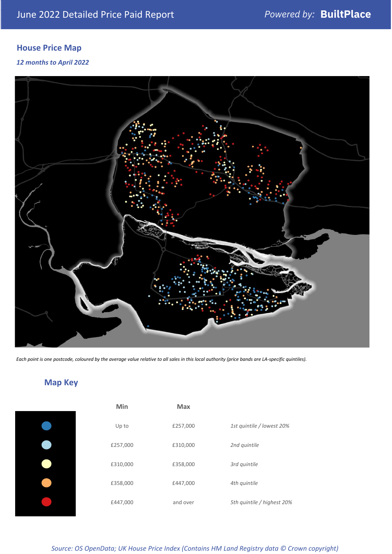# **House Price Map**

*12 months to April 2022*



*Each point is one postcode, coloured by the average value relative to all sales in this local authority (price bands are LA-specific quintiles).*

# **Map Key**

| Min      | <b>Max</b> |                            |
|----------|------------|----------------------------|
| Up to    | £257,000   | 1st quintile / lowest 20%  |
| £257,000 | £310,000   | 2nd quintile               |
| £310,000 | £358,000   | 3rd quintile               |
| £358,000 | £447,000   | 4th quintile               |
| £447,000 | and over   | 5th quintile / highest 20% |

*Source: OS OpenData; UK House Price Index (Contains HM Land Registry data © Crown copyright)*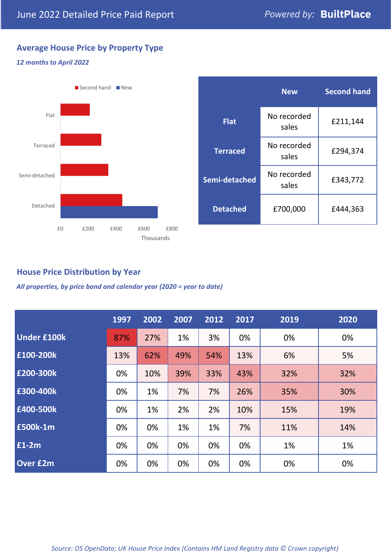## **Average House Price by Property Type**

#### *12 months to April 2022*



|                 | <b>New</b>           | <b>Second hand</b> |  |  |
|-----------------|----------------------|--------------------|--|--|
| <b>Flat</b>     | No recorded<br>sales | £211,144           |  |  |
| <b>Terraced</b> | No recorded<br>sales | £294,374           |  |  |
| Semi-detached   | No recorded<br>sales | £343,772           |  |  |
| <b>Detached</b> | £700,000             | £444,363           |  |  |

## **House Price Distribution by Year**

*All properties, by price band and calendar year (2020 = year to date)*

|                    | 1997 | 2002 | 2007 | 2012 | 2017 | 2019 | 2020 |
|--------------------|------|------|------|------|------|------|------|
| <b>Under £100k</b> | 87%  | 27%  | 1%   | 3%   | 0%   | 0%   | 0%   |
| £100-200k          | 13%  | 62%  | 49%  | 54%  | 13%  | 6%   | 5%   |
| E200-300k          | 0%   | 10%  | 39%  | 33%  | 43%  | 32%  | 32%  |
| £300-400k          | 0%   | 1%   | 7%   | 7%   | 26%  | 35%  | 30%  |
| £400-500k          | 0%   | 1%   | 2%   | 2%   | 10%  | 15%  | 19%  |
| <b>£500k-1m</b>    | 0%   | 0%   | 1%   | 1%   | 7%   | 11%  | 14%  |
| £1-2m              | 0%   | 0%   | 0%   | 0%   | 0%   | 1%   | 1%   |
| <b>Over £2m</b>    | 0%   | 0%   | 0%   | 0%   | 0%   | 0%   | 0%   |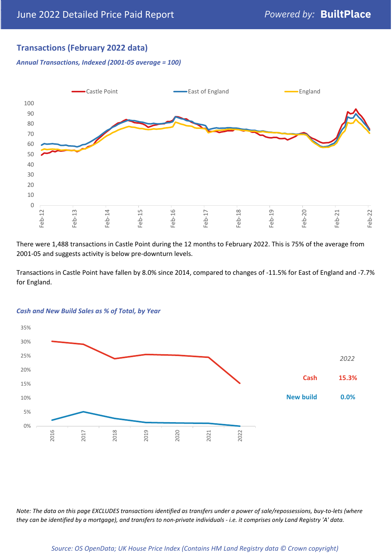## **Transactions (February 2022 data)**

*Annual Transactions, Indexed (2001-05 average = 100)*



There were 1,488 transactions in Castle Point during the 12 months to February 2022. This is 75% of the average from 2001-05 and suggests activity is below pre-downturn levels.

Transactions in Castle Point have fallen by 8.0% since 2014, compared to changes of -11.5% for East of England and -7.7% for England.



#### *Cash and New Build Sales as % of Total, by Year*

*Note: The data on this page EXCLUDES transactions identified as transfers under a power of sale/repossessions, buy-to-lets (where they can be identified by a mortgage), and transfers to non-private individuals - i.e. it comprises only Land Registry 'A' data.*